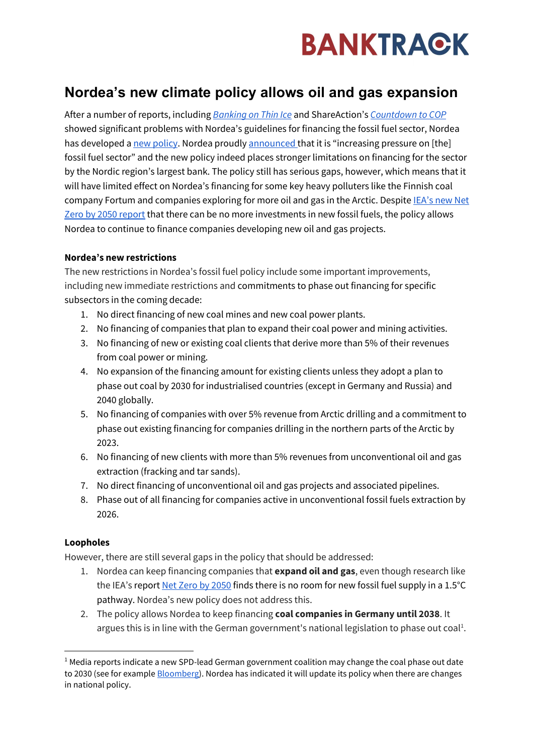

## **Nordea's new climate policy allows oil and gas expansion**

After a number of reports, including *[Banking on Thin Ice](https://www.banktrack.org/article/scandinavian_banks_poured_67_billion_into_the_fossil_fuel_industry_since_paris)* and ShareAction's *[Countdown to COP](https://shareaction.org/news/new-research-puts-big-banks-sustainability-claims-in-doubt)* showed significant problems with Nordea's guidelines for financing the fossil fuel sector, Nordea has developed a [new policy.](https://www.nordea.com/en/doc/nordea-sector-guideline-fossil-fuel-2021-09.pdf) Nordea proudl[y announced](https://www.nordea.com/en/news/increasing-pressure-on-fossil-fuel-sector-with-updated-policy) that it is "increasing pressure on [the] fossil fuel sector" and the new policy indeed places stronger limitations on financing for the sector by the Nordic region's largest bank. The policy still has serious gaps, however, which means that it will have limited effect on Nordea's financing for some key heavy polluters like the Finnish coal company Fortum and companies exploring for more oil and gas in the Arctic. Despite **IEA's new Net** [Zero by 2050 report](https://www.iea.org/reports/net-zero-by-2050) that there can be no more investments in new fossil fuels, the policy allows Nordea to continue to finance companies developing new oil and gas projects.

## **Nordea's new restrictions**

The new restrictions in Nordea's fossil fuel policy include some important improvements, including new immediate restrictions and commitments to phase out financing for specific subsectors in the coming decade:

- 1. No direct financing of new coal mines and new coal power plants.
- 2. No financing of companies that plan to expand their coal power and mining activities.
- 3. No financing of new or existing coal clients that derive more than 5% of their revenues from coal power or mining.
- 4. No expansion of the financing amount for existing clients unless they adopt a plan to phase out coal by 2030 for industrialised countries (except in Germany and Russia) and 2040 globally.
- 5. No financing of companies with over 5% revenue from Arctic drilling and a commitment to phase out existing financing for companies drilling in the northern parts of the Arctic by 2023.
- 6. No financing of new clients with more than 5% revenues from unconventional oil and gas extraction (fracking and tar sands).
- 7. No direct financing of unconventional oil and gas projects and associated pipelines.
- 8. Phase out of all financing for companies active in unconventional fossil fuels extraction by 2026.

## **Loopholes**

However, there are still several gaps in the policy that should be addressed:

- 1. Nordea can keep financing companies that **expand oil and gas**, even though research like the IEA's repor[t Net Zero by 2050](https://www.iea.org/reports/net-zero-by-2050) finds there is no room for new fossil fuel supply in a 1.5°C pathway. Nordea's new policy does not address this.
- 2. The policy allows Nordea to keep financing **coal companies in Germany until 2038**. It argues this is in line with the German government's national legislation to phase out coal<sup>1</sup>.

 $<sup>1</sup>$  Media reports indicate a new SPD-lead German government coalition may change the coal phase out date</sup> to 2030 (see for exampl[e Bloomberg\)](https://www.bloomberg.com/news/articles/2021-10-15/german-coalition-eyes-2030-coal-exit-eight-years-ahead-of-plan). Nordea has indicated it will update its policy when there are changes in national policy.